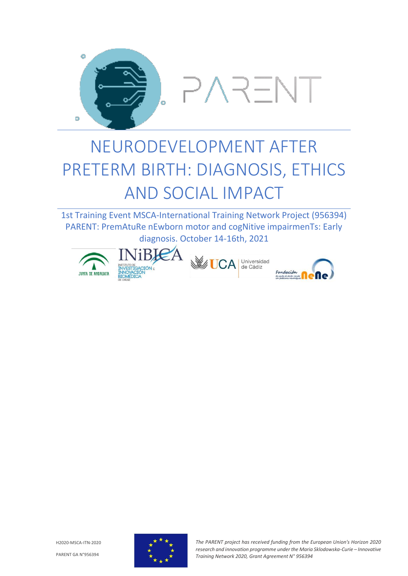

## NEURODEVELOPMENT AFTER PRETERM BIRTH: DIAGNOSIS, ETHICS AND SOCIAL IMPACT

1st Training Event MSCA-International Training Network Project (956394) PARENT: PremAtuRe nEwborn motor and cogNitive impairmenTs: Early diagnosis. October 14-16th, 2021





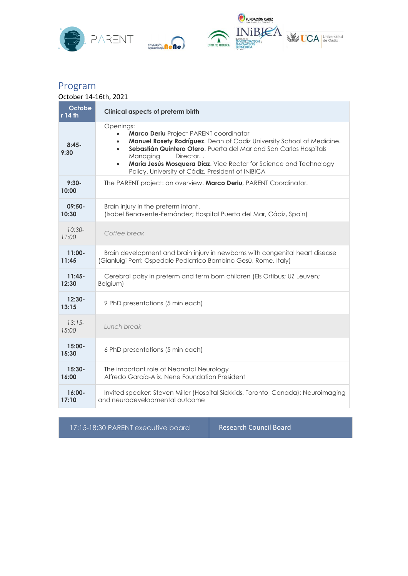



## Program

## October 14-16th, 2021

| Octobe<br>r 14 th  | <b>Clinical aspects of preterm birth</b>                                                                                                                                                                                                                                                                                                                                                                 |
|--------------------|----------------------------------------------------------------------------------------------------------------------------------------------------------------------------------------------------------------------------------------------------------------------------------------------------------------------------------------------------------------------------------------------------------|
| $8:45-$<br>9:30    | Openings:<br>Marco Deriu Project PARENT coordinator<br>$\bullet$<br>Manuel Rosety Rodríguez. Dean of Cadiz University School of Medicine.<br>$\bullet$<br>Sebastián Quintero Otero. Puerta del Mar and San Carlos Hospitals<br>$\bullet$<br>Director.<br>Managing<br>María Jesús Mosquera Díaz. Vice Rector for Science and Technology<br>$\bullet$<br>Policy. University of Cádiz. President of INiBICA |
| $9:30-$<br>10:00   | The PARENT project: an overview. Marco Deriu, PARENT Coordinator.                                                                                                                                                                                                                                                                                                                                        |
| $09:50-$<br>10:30  | Brain injury in the preterm infant.<br>(Isabel Benavente-Fernández; Hospital Puerta del Mar, Cádiz, Spain)                                                                                                                                                                                                                                                                                               |
| $10:30-$<br>11:00  | Coffee break                                                                                                                                                                                                                                                                                                                                                                                             |
| $11:00 -$<br>11:45 | Brain development and brain injury in newborns with congenital heart disease<br>(Gianluigi Perri; Ospedale Pediatrico Bambino Gesù, Rome, Italy)                                                                                                                                                                                                                                                         |
| $11:45-$<br>12:30  | Cerebral palsy in preterm and term born children (Els Ortibus; UZ Leuven;<br>Belgium)                                                                                                                                                                                                                                                                                                                    |
| $12:30 -$<br>13:15 | 9 PhD presentations (5 min each)                                                                                                                                                                                                                                                                                                                                                                         |
| $13:15-$<br>15:00  | Lunch break                                                                                                                                                                                                                                                                                                                                                                                              |
| $15:00 -$<br>15:30 | 6 PhD presentations (5 min each)                                                                                                                                                                                                                                                                                                                                                                         |
| $15:30-$<br>16:00  | The important role of Neonatal Neurology<br>Alfredo García-Alix, Nene Foundation President                                                                                                                                                                                                                                                                                                               |
| $16:00 -$<br>17:10 | Invited speaker: Steven Miller (Hospital Sickkids, Toronto, Canada): Neuroimaging<br>and neurodevelopmental outcome                                                                                                                                                                                                                                                                                      |

17:15-18:30 PARENT executive board Research Council Board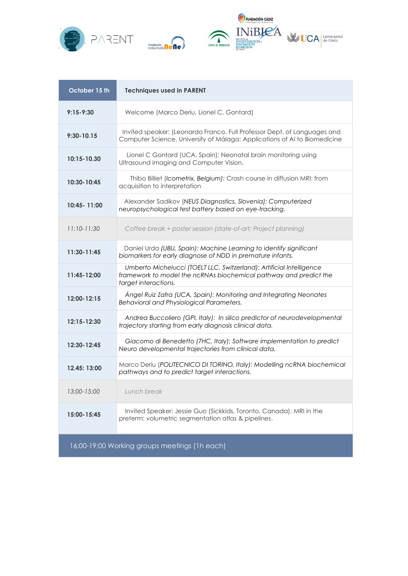





| October 15 th                                 | <b>Techniques used in PARENT</b>                                                                                                                                  |  |
|-----------------------------------------------|-------------------------------------------------------------------------------------------------------------------------------------------------------------------|--|
| $9:15 - 9:30$                                 | Welcome (Marco Deriu, Lionel C. Gontard)                                                                                                                          |  |
| $9:30 - 10.15$                                | Invited speaker: (Leonardo Franco. Full Professor Dept. of Languages and<br>Computer Science. University of Málaga: Applications of AI to Biomedicine             |  |
| 10:15-10.30                                   | Lionel C Gontard (UCA, Spain): Neonatal brain monitoring using<br>Ultrasound imaging and Computer Vision.                                                         |  |
| 10:30-10:45                                   | Thibo Billiet (Icometrix, Belgium): Crash course in diffusion MRI: from<br>acquisition to interpretation                                                          |  |
| 10:45 - 11:00                                 | Alexander Sadikov (NEUS Diagnostics, Slovenia): Computerized<br>neuropsychological test battery based on eye-tracking.                                            |  |
| $11:10-11:30$                                 | Coffee break + poster session (state-of-art; Project planning)                                                                                                    |  |
| 11:30-11:45                                   | Daniel Urda (UBU, Spain): Machine Learning to identify significant<br>biomarkers for early diagnose of NDD in premature infants.                                  |  |
| 11:45-12:00                                   | Umberto Michelucci (TOELT LLC, Switzerland): Artificial Intelligence<br>framework to model the ncRNAs biochemical pathway and predict the<br>target interactions. |  |
| 12:00-12:15                                   | Ángel Ruiz Zafra (UCA, Spain): Monitoring and Integrating Neonates<br>Behavioral and Physiological Parameters.                                                    |  |
| 12:15-12:30                                   | Andrea Buccoliero (GPI, Italy): In silico predictor of neurodevelopmental<br>trajectory starting from early diagnosis clinical data.                              |  |
| 12:30-12:45                                   | Giacomo di Benedetto (7HC, Italy): Software implementation to predict<br>Neuro developmental trajectories from clinical data.                                     |  |
| 12.45: 13:00                                  | Marco Deriu (POLITECNICO DI TORINO, Italy): Modelling ncRNA biochemical<br>pathways and to predict target interactions.                                           |  |
| 13:00-15:00                                   | Lunch break                                                                                                                                                       |  |
| 15:00-15:45                                   | Invited Speaker: Jessie Guo (Sickkids, Toronto, Canada): MRI in the<br>preterm: volumetric segmentation atlas & pipelines.                                        |  |
| 16:00-19:00 Working groups meetings (1h each) |                                                                                                                                                                   |  |